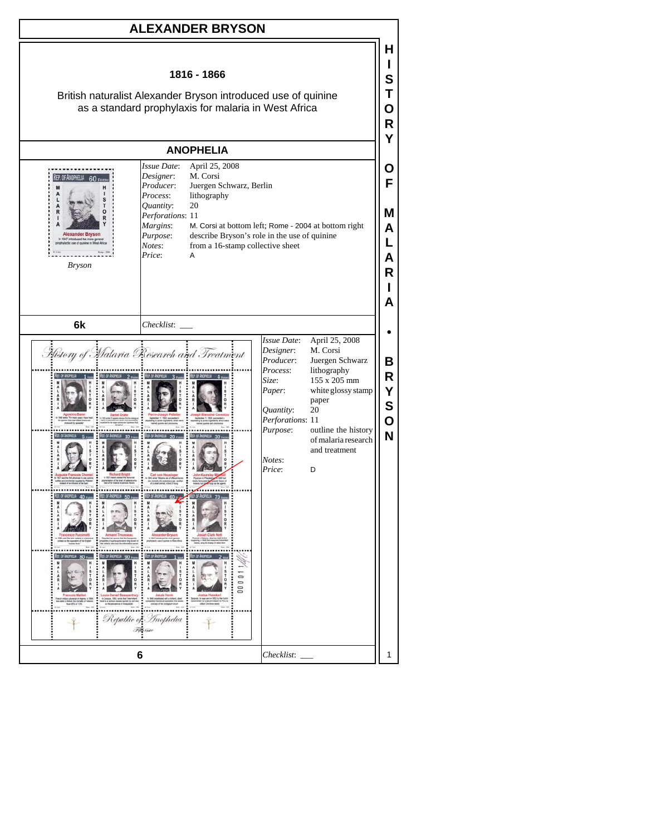